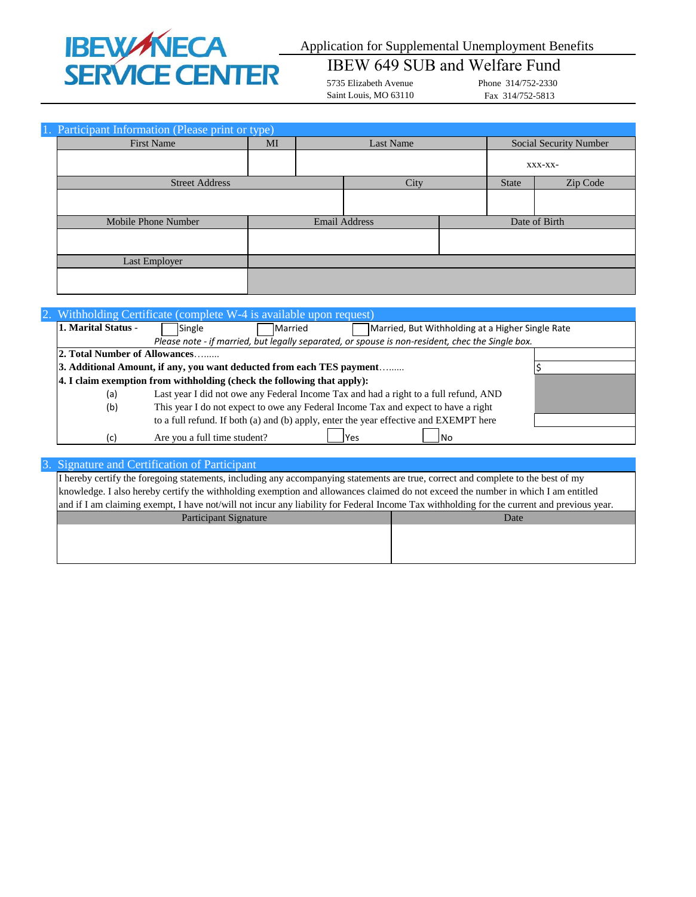# **IBEWANECA<br>SERVICE CENTER**

# Application for Supplemental Unemployment Benefits

# IBEW 649 SUB and Welfare Fund

5735 Elizabeth Avenue Saint Louis, MO 63110 Phone 314/752-2330 Fax 314/752-5813

| 1. Participant Information (Please print or type) |    |                      |              |                               |
|---------------------------------------------------|----|----------------------|--------------|-------------------------------|
| <b>First Name</b>                                 | MI | Last Name            |              | <b>Social Security Number</b> |
|                                                   |    |                      |              | XXX-XX-                       |
| <b>Street Address</b>                             |    | City                 | <b>State</b> | Zip Code                      |
|                                                   |    |                      |              |                               |
| Mobile Phone Number                               |    | <b>Email Address</b> |              | Date of Birth                 |
|                                                   |    |                      |              |                               |
| Last Employer                                     |    |                      |              |                               |
|                                                   |    |                      |              |                               |

|                               | 2. Withholding Certificate (complete W-4 is available upon request)                                                               |  |
|-------------------------------|-----------------------------------------------------------------------------------------------------------------------------------|--|
| 1. Marital Status -           | Married, But Withholding at a Higher Single Rate<br>Single<br>Married                                                             |  |
|                               | Please note - if married, but legally separated, or spouse is non-resident, chec the Single box.                                  |  |
| 2. Total Number of Allowances |                                                                                                                                   |  |
|                               | 3. Additional Amount, if any, you want deducted from each TES payment                                                             |  |
|                               | $\vert$ 4. I claim exemption from withholding (check the following that apply):                                                   |  |
| (a)                           | Last year I did not owe any Federal Income Tax and had a right to a full refund, AND                                              |  |
| (b)                           | This year I do not expect to owe any Federal Income Tax and expect to have a right                                                |  |
|                               | to a full refund. If both (a) and (b) apply, enter the year effective and EXEMPT here                                             |  |
| (c)                           | Are you a full time student?<br>Yes<br>l No                                                                                       |  |
|                               |                                                                                                                                   |  |
|                               | 3. Signature and Certification of Participant                                                                                     |  |
|                               | I hereby certify the foregoing statements, including any accompanying statements are true, correct and complete to the best of my |  |
|                               | knowledge. I also hereby certify the withholding exemption and allowances claimed do not exceed the number in which I am entitled |  |

| and if I am claiming exempt, I have not/will not incur any liability for Federal Income Tax withholding for the current and previous year. |      |
|--------------------------------------------------------------------------------------------------------------------------------------------|------|
| Participant Signature                                                                                                                      | Date |
|                                                                                                                                            |      |
|                                                                                                                                            |      |
|                                                                                                                                            |      |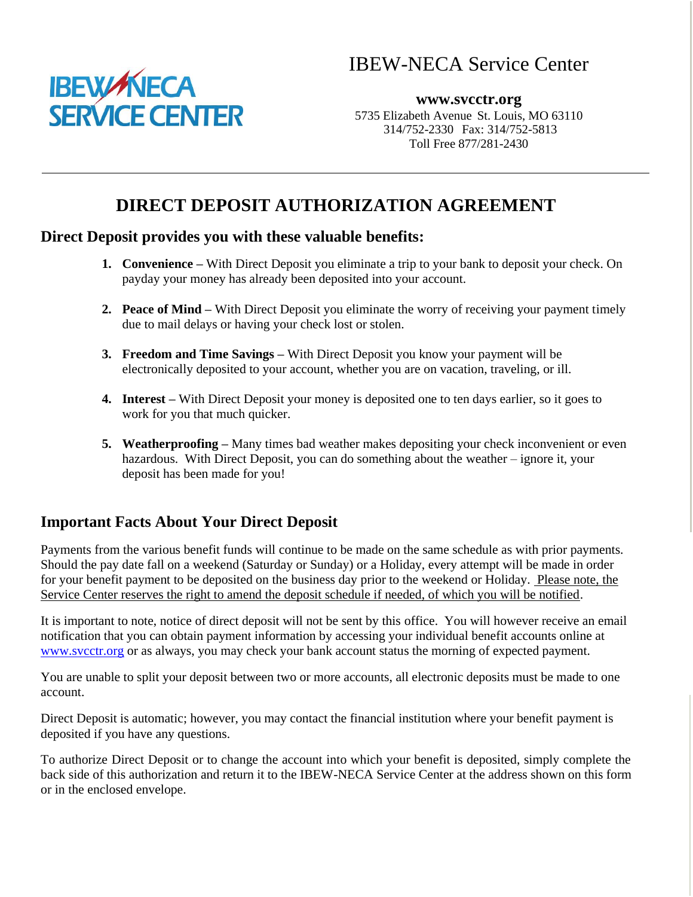## IBEW-NECA Service Center



**www.svcctr.org** 5735 Elizabeth Avenue St. Louis, MO 63110 314/752-2330 Fax: 314/752-5813 Toll Free 877/281-2430

### **DIRECT DEPOSIT AUTHORIZATION AGREEMENT**

#### **Direct Deposit provides you with these valuable benefits:**

- **1. Convenience –** With Direct Deposit you eliminate a trip to your bank to deposit your check. On payday your money has already been deposited into your account.
- **2. Peace of Mind –** With Direct Deposit you eliminate the worry of receiving your payment timely due to mail delays or having your check lost or stolen.
- **3. Freedom and Time Savings –** With Direct Deposit you know your payment will be electronically deposited to your account, whether you are on vacation, traveling, or ill.
- **4. Interest –** With Direct Deposit your money is deposited one to ten days earlier, so it goes to work for you that much quicker.
- **5. Weatherproofing –** Many times bad weather makes depositing your check inconvenient or even hazardous. With Direct Deposit, you can do something about the weather – ignore it, your deposit has been made for you!

#### **Important Facts About Your Direct Deposit**

Payments from the various benefit funds will continue to be made on the same schedule as with prior payments. Should the pay date fall on a weekend (Saturday or Sunday) or a Holiday, every attempt will be made in order for your benefit payment to be deposited on the business day prior to the weekend or Holiday. Please note, the Service Center reserves the right to amend the deposit schedule if needed, of which you will be notified.

It is important to note, notice of direct deposit will not be sent by this office. You will however receive an email notification that you can obtain payment information by accessing your individual benefit accounts online at [www.svcctr.org](http://www.svcctr.org/) or as always, you may check your bank account status the morning of expected payment.

You are unable to split your deposit between two or more accounts, all electronic deposits must be made to one account.

Direct Deposit is automatic; however, you may contact the financial institution where your benefit payment is deposited if you have any questions.

To authorize Direct Deposit or to change the account into which your benefit is deposited, simply complete the back side of this authorization and return it to the IBEW-NECA Service Center at the address shown on this form or in the enclosed envelope.